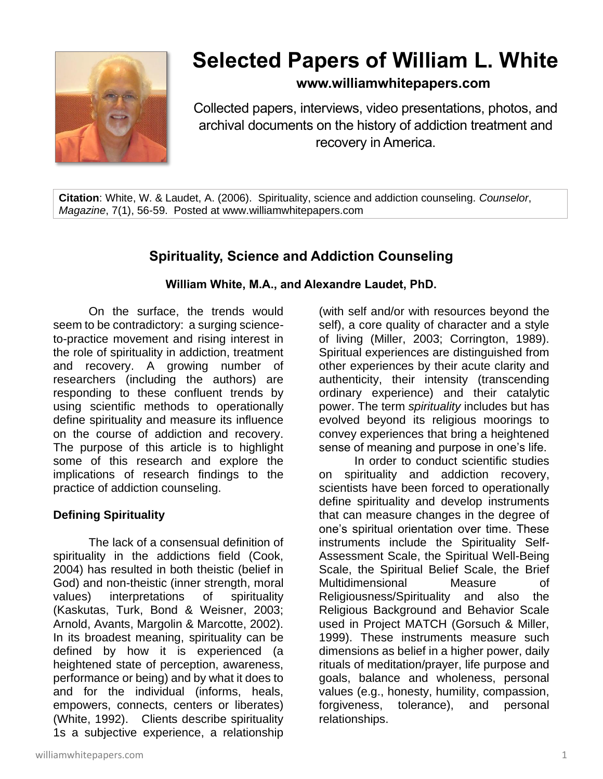

# **Selected Papers of William L. White**

### **www.williamwhitepapers.com**

Collected papers, interviews, video presentations, photos, and archival documents on the history of addiction treatment and recovery in America.

**Citation**: White, W. & Laudet, A. (2006). Spirituality, science and addiction counseling. *Counselor*, *Magazine*, 7(1), 56-59. Posted at www.williamwhitepapers.com

## **Spirituality, Science and Addiction Counseling**

#### **William White, M.A., and Alexandre Laudet, PhD.**

On the surface, the trends would seem to be contradictory: a surging scienceto-practice movement and rising interest in the role of spirituality in addiction, treatment and recovery. A growing number of researchers (including the authors) are responding to these confluent trends by using scientific methods to operationally define spirituality and measure its influence on the course of addiction and recovery. The purpose of this article is to highlight some of this research and explore the implications of research findings to the practice of addiction counseling.

#### **Defining Spirituality**

The lack of a consensual definition of spirituality in the addictions field (Cook, 2004) has resulted in both theistic (belief in God) and non-theistic (inner strength, moral values) interpretations of spirituality (Kaskutas, Turk, Bond & Weisner, 2003; Arnold, Avants, Margolin & Marcotte, 2002). In its broadest meaning, spirituality can be defined by how it is experienced (a heightened state of perception, awareness, performance or being) and by what it does to and for the individual (informs, heals, empowers, connects, centers or liberates) (White, 1992). Clients describe spirituality 1s a subjective experience, a relationship

(with self and/or with resources beyond the self), a core quality of character and a style of living (Miller, 2003; Corrington, 1989). Spiritual experiences are distinguished from other experiences by their acute clarity and authenticity, their intensity (transcending ordinary experience) and their catalytic power. The term *spirituality* includes but has evolved beyond its religious moorings to convey experiences that bring a heightened sense of meaning and purpose in one's life.

In order to conduct scientific studies on spirituality and addiction recovery, scientists have been forced to operationally define spirituality and develop instruments that can measure changes in the degree of one's spiritual orientation over time. These instruments include the Spirituality Self-Assessment Scale, the Spiritual Well-Being Scale, the Spiritual Belief Scale, the Brief Multidimensional Measure of Religiousness/Spirituality and also the Religious Background and Behavior Scale used in Project MATCH (Gorsuch & Miller, 1999). These instruments measure such dimensions as belief in a higher power, daily rituals of meditation/prayer, life purpose and goals, balance and wholeness, personal values (e.g., honesty, humility, compassion, forgiveness, tolerance), and personal relationships.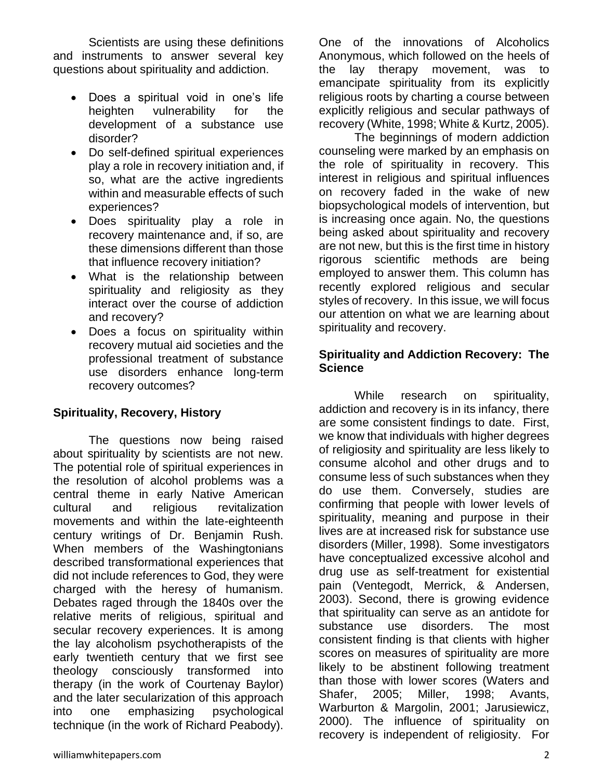Scientists are using these definitions and instruments to answer several key questions about spirituality and addiction.

- Does a spiritual void in one's life heighten vulnerability for the development of a substance use disorder?
- Do self-defined spiritual experiences play a role in recovery initiation and, if so, what are the active ingredients within and measurable effects of such experiences?
- Does spirituality play a role in recovery maintenance and, if so, are these dimensions different than those that influence recovery initiation?
- What is the relationship between spirituality and religiosity as they interact over the course of addiction and recovery?
- Does a focus on spirituality within recovery mutual aid societies and the professional treatment of substance use disorders enhance long-term recovery outcomes?

#### **Spirituality, Recovery, History**

The questions now being raised about spirituality by scientists are not new. The potential role of spiritual experiences in the resolution of alcohol problems was a central theme in early Native American cultural and religious revitalization movements and within the late-eighteenth century writings of Dr. Benjamin Rush. When members of the Washingtonians described transformational experiences that did not include references to God, they were charged with the heresy of humanism. Debates raged through the 1840s over the relative merits of religious, spiritual and secular recovery experiences. It is among the lay alcoholism psychotherapists of the early twentieth century that we first see theology consciously transformed into therapy (in the work of Courtenay Baylor) and the later secularization of this approach into one emphasizing psychological technique (in the work of Richard Peabody).

One of the innovations of Alcoholics Anonymous, which followed on the heels of the lay therapy movement, was to emancipate spirituality from its explicitly religious roots by charting a course between explicitly religious and secular pathways of recovery (White, 1998; White & Kurtz, 2005).

The beginnings of modern addiction counseling were marked by an emphasis on the role of spirituality in recovery. This interest in religious and spiritual influences on recovery faded in the wake of new biopsychological models of intervention, but is increasing once again. No, the questions being asked about spirituality and recovery are not new, but this is the first time in history rigorous scientific methods are being employed to answer them. This column has recently explored religious and secular styles of recovery. In this issue, we will focus our attention on what we are learning about spirituality and recovery.

#### **Spirituality and Addiction Recovery: The Science**

While research on spirituality, addiction and recovery is in its infancy, there are some consistent findings to date. First, we know that individuals with higher degrees of religiosity and spirituality are less likely to consume alcohol and other drugs and to consume less of such substances when they do use them. Conversely, studies are confirming that people with lower levels of spirituality, meaning and purpose in their lives are at increased risk for substance use disorders (Miller, 1998). Some investigators have conceptualized excessive alcohol and drug use as self-treatment for existential pain (Ventegodt, Merrick, & Andersen, 2003). Second, there is growing evidence that spirituality can serve as an antidote for substance use disorders. The most consistent finding is that clients with higher scores on measures of spirituality are more likely to be abstinent following treatment than those with lower scores (Waters and Shafer, 2005; Miller, 1998; Avants, Warburton & Margolin, 2001; Jarusiewicz, 2000). The influence of spirituality on recovery is independent of religiosity. For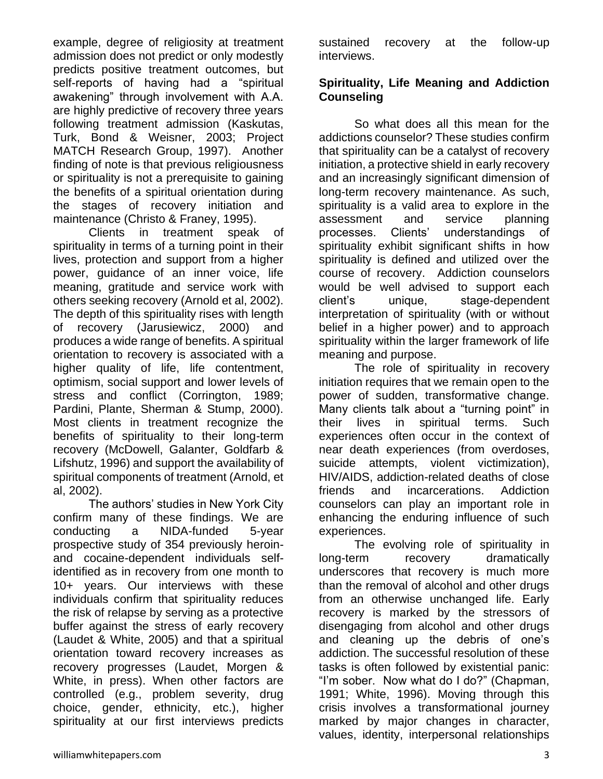example, degree of religiosity at treatment admission does not predict or only modestly predicts positive treatment outcomes, but self-reports of having had a "spiritual awakening" through involvement with A.A. are highly predictive of recovery three years following treatment admission (Kaskutas, Turk, Bond & Weisner, 2003; Project MATCH Research Group, 1997). Another finding of note is that previous religiousness or spirituality is not a prerequisite to gaining the benefits of a spiritual orientation during the stages of recovery initiation and maintenance (Christo & Franey, 1995).

Clients in treatment speak of spirituality in terms of a turning point in their lives, protection and support from a higher power, guidance of an inner voice, life meaning, gratitude and service work with others seeking recovery (Arnold et al, 2002). The depth of this spirituality rises with length of recovery (Jarusiewicz, 2000) and produces a wide range of benefits. A spiritual orientation to recovery is associated with a higher quality of life, life contentment, optimism, social support and lower levels of stress and conflict (Corrington, 1989; Pardini, Plante, Sherman & Stump, 2000). Most clients in treatment recognize the benefits of spirituality to their long-term recovery (McDowell, Galanter, Goldfarb & Lifshutz, 1996) and support the availability of spiritual components of treatment (Arnold, et al, 2002).

The authors' studies in New York City confirm many of these findings. We are conducting a NIDA-funded 5-year prospective study of 354 previously heroinand cocaine-dependent individuals selfidentified as in recovery from one month to 10+ years. Our interviews with these individuals confirm that spirituality reduces the risk of relapse by serving as a protective buffer against the stress of early recovery (Laudet & White, 2005) and that a spiritual orientation toward recovery increases as recovery progresses (Laudet, Morgen & White, in press). When other factors are controlled (e.g., problem severity, drug choice, gender, ethnicity, etc.), higher spirituality at our first interviews predicts

sustained recovery at the follow-up interviews.

#### **Spirituality, Life Meaning and Addiction Counseling**

So what does all this mean for the addictions counselor? These studies confirm that spirituality can be a catalyst of recovery initiation, a protective shield in early recovery and an increasingly significant dimension of long-term recovery maintenance. As such, spirituality is a valid area to explore in the assessment and service planning processes. Clients' understandings of spirituality exhibit significant shifts in how spirituality is defined and utilized over the course of recovery. Addiction counselors would be well advised to support each client's unique, stage-dependent interpretation of spirituality (with or without belief in a higher power) and to approach spirituality within the larger framework of life meaning and purpose.

The role of spirituality in recovery initiation requires that we remain open to the power of sudden, transformative change. Many clients talk about a "turning point" in their lives in spiritual terms. Such experiences often occur in the context of near death experiences (from overdoses, suicide attempts, violent victimization), HIV/AIDS, addiction-related deaths of close friends and incarcerations. Addiction counselors can play an important role in enhancing the enduring influence of such experiences.

The evolving role of spirituality in long-term recovery dramatically underscores that recovery is much more than the removal of alcohol and other drugs from an otherwise unchanged life. Early recovery is marked by the stressors of disengaging from alcohol and other drugs and cleaning up the debris of one's addiction. The successful resolution of these tasks is often followed by existential panic: "I'm sober. Now what do I do?" (Chapman, 1991; White, 1996). Moving through this crisis involves a transformational journey marked by major changes in character, values, identity, interpersonal relationships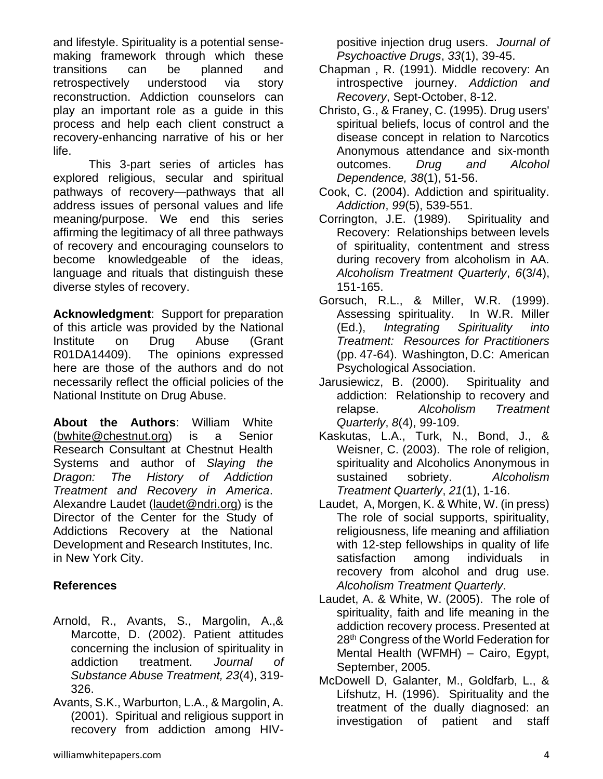and lifestyle. Spirituality is a potential sensemaking framework through which these transitions can be planned and retrospectively understood via story reconstruction. Addiction counselors can play an important role as a guide in this process and help each client construct a recovery-enhancing narrative of his or her life.

This 3-part series of articles has explored religious, secular and spiritual pathways of recovery—pathways that all address issues of personal values and life meaning/purpose. We end this series affirming the legitimacy of all three pathways of recovery and encouraging counselors to become knowledgeable of the ideas, language and rituals that distinguish these diverse styles of recovery.

**Acknowledgment**: Support for preparation of this article was provided by the National Institute on Drug Abuse (Grant R01DA14409). The opinions expressed here are those of the authors and do not necessarily reflect the official policies of the National Institute on Drug Abuse.

**About the Authors**: William White [\(bwhite@chestnut.org\)](mailto:bwhite@chestnut.org) is a Senior Research Consultant at Chestnut Health Systems and author of *Slaying the Dragon: The History of Addiction Treatment and Recovery in America*. Alexandre Laudet [\(laudet@ndri.org\)](mailto:laudet@ndri.org) is the Director of the Center for the Study of Addictions Recovery at the National Development and Research Institutes, Inc. in New York City.

#### **References**

- Arnold, R., Avants, S., Margolin, A.,& Marcotte, D. (2002). Patient attitudes concerning the inclusion of spirituality in addiction treatment. *Journal of Substance Abuse Treatment, 23*(4), 319- 326.
- Avants, S.K., Warburton, L.A., & Margolin, A. (2001). Spiritual and religious support in recovery from addiction among HIV-

positive injection drug users. *Journal of Psychoactive Drugs*, *33*(1), 39-45.

- Chapman , R. (1991). Middle recovery: An introspective journey. *Addiction and Recovery*, Sept-October, 8-12.
- Christo, G., & Franey, C. (1995). Drug users' spiritual beliefs, locus of control and the disease concept in relation to Narcotics Anonymous attendance and six-month outcomes. *Drug and Alcohol Dependence, 38*(1), 51-56.
- Cook, C. (2004). Addiction and spirituality. *Addiction*, *99*(5), 539-551.
- Corrington, J.E. (1989). Spirituality and Recovery: Relationships between levels of spirituality, contentment and stress during recovery from alcoholism in AA. *Alcoholism Treatment Quarterly*, *6*(3/4), 151-165.
- Gorsuch, R.L., & Miller, W.R. (1999). Assessing spirituality. In W.R. Miller (Ed.), *Integrating Spirituality into Treatment: Resources for Practitioners*  (pp. 47-64). Washington, D.C: American Psychological Association.
- Jarusiewicz, B. (2000). Spirituality and addiction: Relationship to recovery and relapse. *Alcoholism Treatment Quarterly*, *8*(4), 99-109.
- Kaskutas, L.A., Turk, N., Bond, J., & Weisner, C. (2003). The role of religion, spirituality and Alcoholics Anonymous in sustained sobriety. *Alcoholism Treatment Quarterly*, *21*(1), 1-16.
- Laudet, A, Morgen, K. & White, W. (in press) The role of social supports, spirituality, religiousness, life meaning and affiliation with 12-step fellowships in quality of life satisfaction among individuals in recovery from alcohol and drug use. *Alcoholism Treatment Quarterly*.
- Laudet, A. & White, W. (2005). The role of spirituality, faith and life meaning in the addiction recovery process. Presented at 28th Congress of the World Federation for Mental Health (WFMH) – Cairo, Egypt, September, 2005.
- McDowell D, Galanter, M., Goldfarb, L., & Lifshutz, H. (1996). Spirituality and the treatment of the dually diagnosed: an investigation of patient and staff